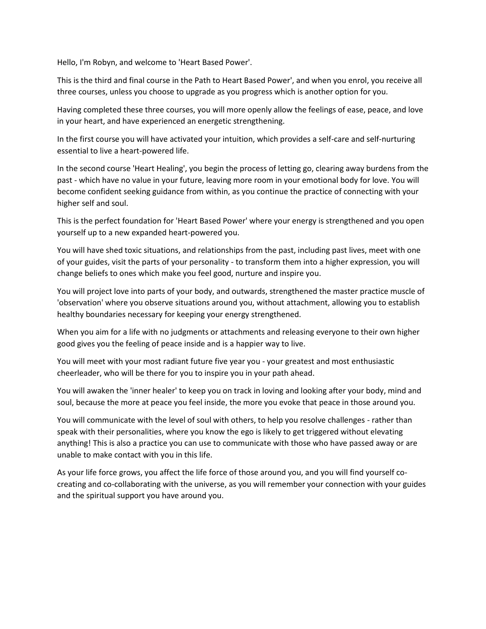Hello, I'm Robyn, and welcome to 'Heart Based Power'.

This is the third and final course in the Path to Heart Based Power', and when you enrol, you receive all three courses, unless you choose to upgrade as you progress which is another option for you.

Having completed these three courses, you will more openly allow the feelings of ease, peace, and love in your heart, and have experienced an energetic strengthening.

In the first course you will have activated your intuition, which provides a self-care and self-nurturing essential to live a heart-powered life.

In the second course 'Heart Healing', you begin the process of letting go, clearing away burdens from the past - which have no value in your future, leaving more room in your emotional body for love. You will become confident seeking guidance from within, as you continue the practice of connecting with your higher self and soul.

This is the perfect foundation for 'Heart Based Power' where your energy is strengthened and you open yourself up to a new expanded heart-powered you.

You will have shed toxic situations, and relationships from the past, including past lives, meet with one of your guides, visit the parts of your personality - to transform them into a higher expression, you will change beliefs to ones which make you feel good, nurture and inspire you.

You will project love into parts of your body, and outwards, strengthened the master practice muscle of 'observation' where you observe situations around you, without attachment, allowing you to establish healthy boundaries necessary for keeping your energy strengthened.

When you aim for a life with no judgments or attachments and releasing everyone to their own higher good gives you the feeling of peace inside and is a happier way to live.

You will meet with your most radiant future five year you - your greatest and most enthusiastic cheerleader, who will be there for you to inspire you in your path ahead.

You will awaken the 'inner healer' to keep you on track in loving and looking after your body, mind and soul, because the more at peace you feel inside, the more you evoke that peace in those around you.

You will communicate with the level of soul with others, to help you resolve challenges - rather than speak with their personalities, where you know the ego is likely to get triggered without elevating anything! This is also a practice you can use to communicate with those who have passed away or are unable to make contact with you in this life.

As your life force grows, you affect the life force of those around you, and you will find yourself cocreating and co-collaborating with the universe, as you will remember your connection with your guides and the spiritual support you have around you.